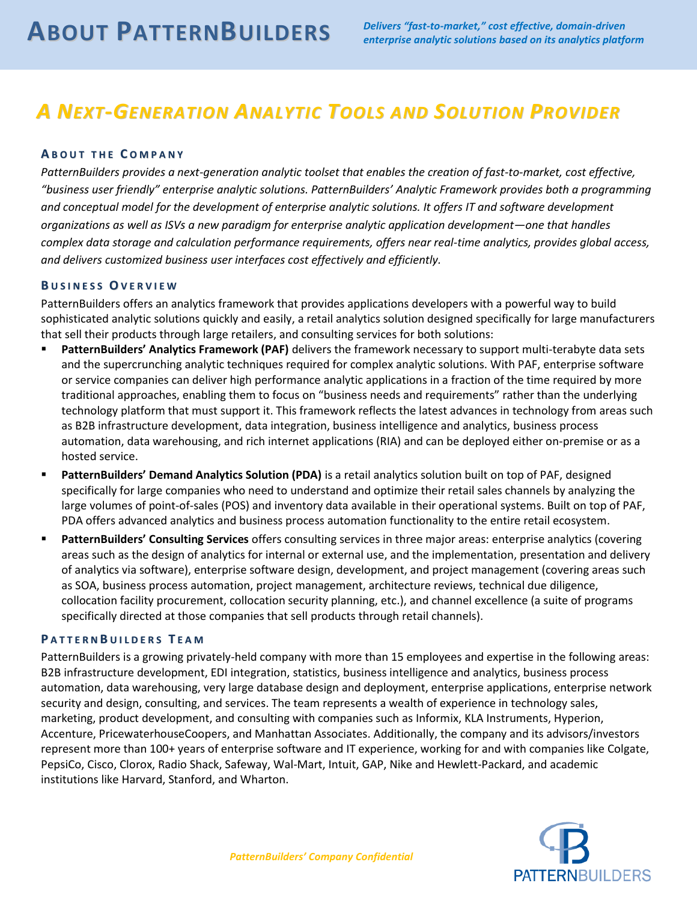# *A NEXT-GENERATION ANALYTIC TOOLS AND SOLUTION PROVIDER*

## **A B O U T T H E C O M P A N Y**

*PatternBuilders provides a next-generation analytic toolset that enables the creation of fast-to-market, cost effective, "business user friendly" enterprise analytic solutions. PatternBuilders' Analytic Framework provides both a programming and conceptual model for the development of enterprise analytic solutions. It offers IT and software development organizations as well as ISVs a new paradigm for enterprise analytic application development—one that handles complex data storage and calculation performance requirements, offers near real-time analytics, provides global access, and delivers customized business user interfaces cost effectively and efficiently.*

#### **B U S I N E S S OV E R V I E W**

PatternBuilders offers an analytics framework that provides applications developers with a powerful way to build sophisticated analytic solutions quickly and easily, a retail analytics solution designed specifically for large manufacturers that sell their products through large retailers, and consulting services for both solutions:

- **PatternBuilders' Analytics Framework (PAF)** delivers the framework necessary to support multi-terabyte data sets and the supercrunching analytic techniques required for complex analytic solutions. With PAF, enterprise software or service companies can deliver high performance analytic applications in a fraction of the time required by more traditional approaches, enabling them to focus on "business needs and requirements" rather than the underlying technology platform that must support it. This framework reflects the latest advances in technology from areas such as B2B infrastructure development, data integration, business intelligence and analytics, business process automation, data warehousing, and rich internet applications (RIA) and can be deployed either on-premise or as a hosted service.
- **PatternBuilders' Demand Analytics Solution (PDA)** is a retail analytics solution built on top of PAF, designed specifically for large companies who need to understand and optimize their retail sales channels by analyzing the large volumes of point-of-sales (POS) and inventory data available in their operational systems. Built on top of PAF, PDA offers advanced analytics and business process automation functionality to the entire retail ecosystem.
- **PatternBuilders' Consulting Services** offers consulting services in three major areas: enterprise analytics (covering areas such as the design of analytics for internal or external use, and the implementation, presentation and delivery of analytics via software), enterprise software design, development, and project management (covering areas such as SOA, business process automation, project management, architecture reviews, technical due diligence, collocation facility procurement, collocation security planning, etc.), and channel excellence (a suite of programs specifically directed at those companies that sell products through retail channels).

### **PATTERNBUILDERS TEAM**

PatternBuilders is a growing privately-held company with more than 15 employees and expertise in the following areas: B2B infrastructure development, EDI integration, statistics, business intelligence and analytics, business process automation, data warehousing, very large database design and deployment, enterprise applications, enterprise network security and design, consulting, and services. The team represents a wealth of experience in technology sales, marketing, product development, and consulting with companies such as Informix, KLA Instruments, Hyperion, Accenture, PricewaterhouseCoopers, and Manhattan Associates. Additionally, the company and its advisors/investors represent more than 100+ years of enterprise software and IT experience, working for and with companies like Colgate, PepsiCo, Cisco, Clorox, Radio Shack, Safeway, Wal-Mart, Intuit, GAP, Nike and Hewlett-Packard, and academic institutions like Harvard, Stanford, and Wharton.